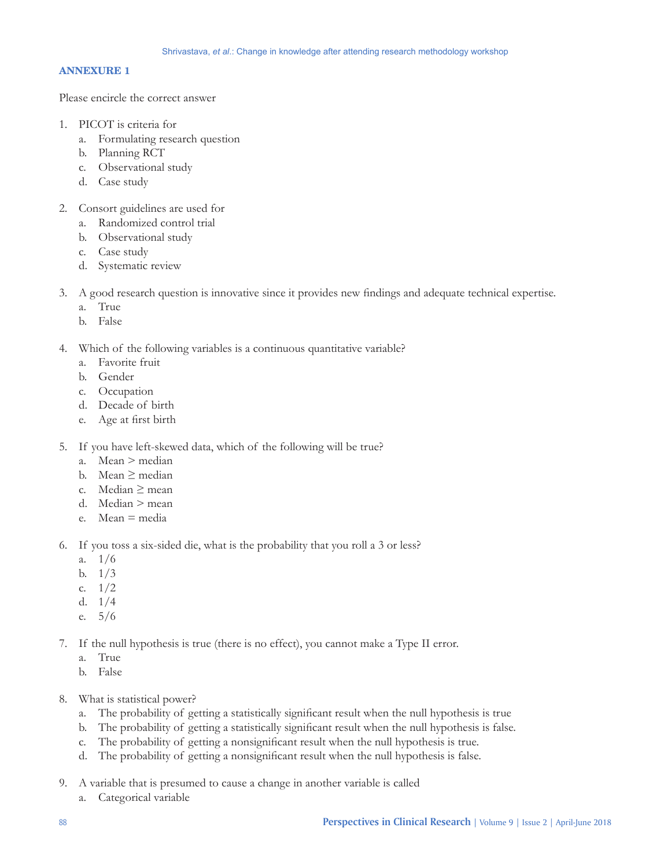## **ANNEXURE 1**

Please encircle the correct answer

- 1. PICOT is criteria for
	- a. Formulating research question
	- b. Planning RCT
	- c. Observational study
	- d. Case study
- 2. Consort guidelines are used for
	- a. Randomized control trial
	- b. Observational study
	- c. Case study
	- d. Systematic review
- 3. A good research question is innovative since it provides new findings and adequate technical expertise.
	- a. True
	- b. False
- 4. Which of the following variables is a continuous quantitative variable?
	- a. Favorite fruit
	- b. Gender
	- c. Occupation
	- d. Decade of birth
	- e. Age at first birth
- 5. If you have left-skewed data, which of the following will be true?
	- a. Mean > median
	- b. Mean ≥ median
	- c. Median  $\geq$  mean
	- d. Median > mean
	- e. Mean = media
- 6. If you toss a six-sided die, what is the probability that you roll a 3 or less?
	- a. 1/6
	- b. 1/3
	- c. 1/2
	- d. 1/4
	- e. 5/6
- 7. If the null hypothesis is true (there is no effect), you cannot make a Type II error.
	- a. True
	- b. False
- 8. What is statistical power?
	- a. The probability of getting a statistically significant result when the null hypothesis is true
	- b. The probability of getting a statistically significant result when the null hypothesis is false.
	- c. The probability of getting a nonsignificant result when the null hypothesis is true.
	- d. The probability of getting a nonsignificant result when the null hypothesis is false.
- 9. A variable that is presumed to cause a change in another variable is called
	- a. Categorical variable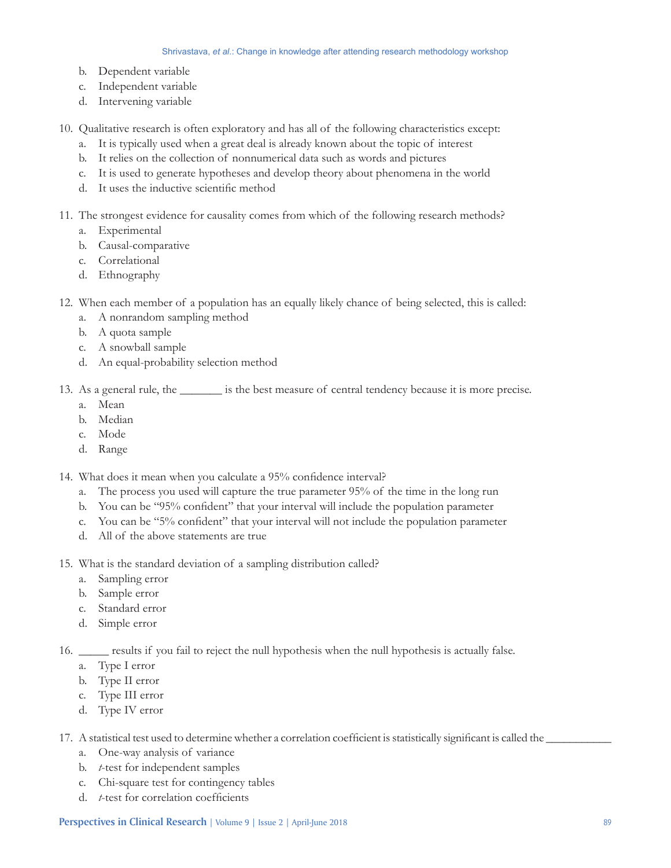- b. Dependent variable
- c. Independent variable
- d. Intervening variable

10. Qualitative research is often exploratory and has all of the following characteristics except:

- a. It is typically used when a great deal is already known about the topic of interest
- b. It relies on the collection of nonnumerical data such as words and pictures
- c. It is used to generate hypotheses and develop theory about phenomena in the world
- d. It uses the inductive scientific method

11. The strongest evidence for causality comes from which of the following research methods?

- a. Experimental
- b. Causal-comparative
- c. Correlational
- d. Ethnography
- 12. When each member of a population has an equally likely chance of being selected, this is called:
	- a. A nonrandom sampling method
	- b. A quota sample
	- c. A snowball sample
	- d. An equal-probability selection method

13. As a general rule, the \_\_\_\_\_\_\_ is the best measure of central tendency because it is more precise.

- a. Mean
- b. Median
- c. Mode
- d. Range

14. What does it mean when you calculate a 95% confidence interval?

- a. The process you used will capture the true parameter 95% of the time in the long run
- b. You can be "95% confident" that your interval will include the population parameter
- c. You can be "5% confident" that your interval will not include the population parameter
- d. All of the above statements are true
- 15. What is the standard deviation of a sampling distribution called?
	- a. Sampling error
	- b. Sample error
	- c. Standard error
	- d. Simple error
- 16. \_\_\_\_\_ results if you fail to reject the null hypothesis when the null hypothesis is actually false.
	- a. Type I error
	- b. Type II error
	- c. Type III error
	- d. Type IV error

17. A statistical test used to determine whether a correlation coefficient is statistically significant is called the

- a. One-way analysis of variance
- b. *t*-test for independent samples
- c. Chi-square test for contingency tables
- d. *t*‑test for correlation coefficients

**Perspectives in Clinical Research** | Volume 9 | Issue 2 | April-June 2018 89